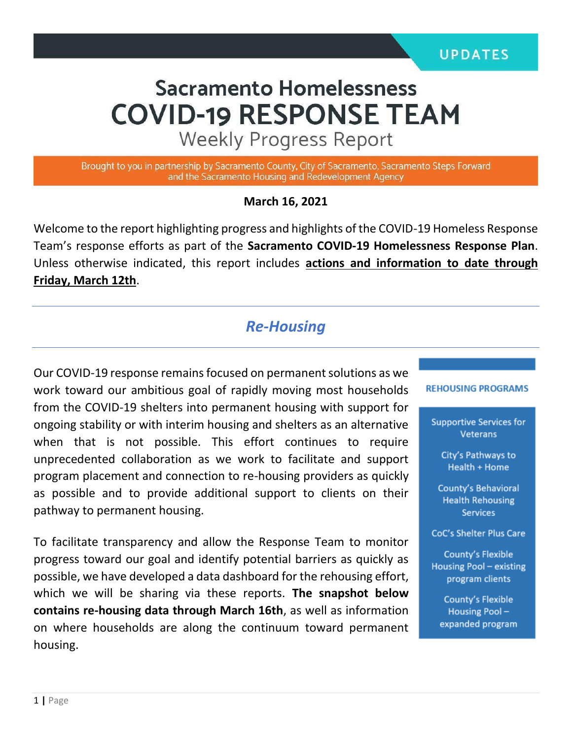# **Sacramento Homelessness COVID-19 RESPONSE TEAM**

**Weekly Progress Report** 

Brought to you in partnership by Sacramento County, City of Sacramento, Sacramento Steps Forward and the Sacramento Housing and Redevelopment Agency

#### **March 16, 2021**

Welcome to the report highlighting progress and highlights of the COVID-19 Homeless Response Team's response efforts as part of the **Sacramento COVID-19 Homelessness Response Plan**. Unless otherwise indicated, this report includes **actions and information to date through Friday, March 12th**.

# *Re-Housing*

Our COVID-19 response remains focused on permanent solutions as we work toward our ambitious goal of rapidly moving most households from the COVID-19 shelters into permanent housing with support for ongoing stability or with interim housing and shelters as an alternative when that is not possible. This effort continues to require unprecedented collaboration as we work to facilitate and support program placement and connection to re-housing providers as quickly as possible and to provide additional support to clients on their pathway to permanent housing.

To facilitate transparency and allow the Response Team to monitor progress toward our goal and identify potential barriers as quickly as possible, we have developed a data dashboard for the rehousing effort, which we will be sharing via these reports. **The snapshot below contains re-housing data through March 16th**, as well as information on where households are along the continuum toward permanent housing.

#### **REHOUSING PROGRAMS**

**Supportive Services for** Veterans

> City's Pathways to Health + Home

**County's Behavioral Health Rehousing Services** 

**CoC's Shelter Plus Care** 

**County's Flexible** Housing Pool - existing program clients

> **County's Flexible** Housing Poolexpanded program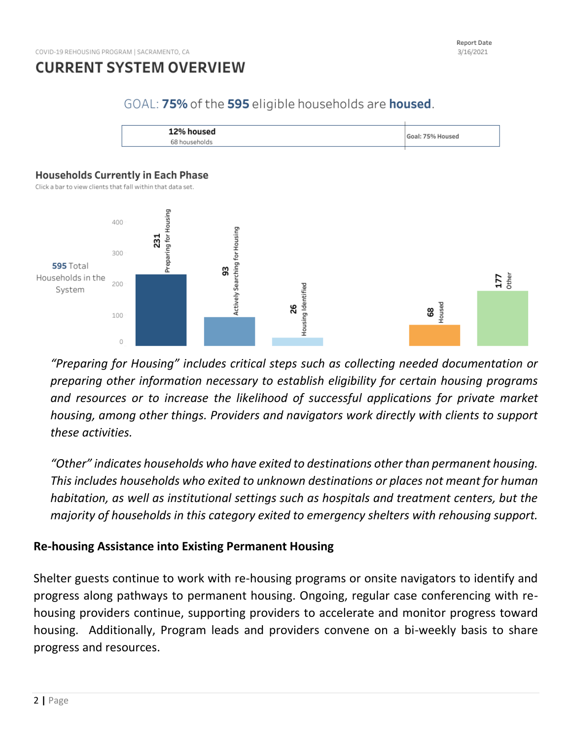### GOAL: 75% of the 595 eligible households are housed.



#### **Households Currently in Each Phase**

Click a bar to view clients that fall within that data set.



*"Preparing for Housing" includes critical steps such as collecting needed documentation or preparing other information necessary to establish eligibility for certain housing programs and resources or to increase the likelihood of successful applications for private market housing, among other things. Providers and navigators work directly with clients to support these activities.*

*"Other" indicates households who have exited to destinations other than permanent housing. This includes households who exited to unknown destinations or places not meant for human habitation, as well as institutional settings such as hospitals and treatment centers, but the majority of households in this category exited to emergency shelters with rehousing support.*

### **Re-housing Assistance into Existing Permanent Housing**

Shelter guests continue to work with re-housing programs or onsite navigators to identify and progress along pathways to permanent housing. Ongoing, regular case conferencing with rehousing providers continue, supporting providers to accelerate and monitor progress toward housing. Additionally, Program leads and providers convene on a bi-weekly basis to share progress and resources.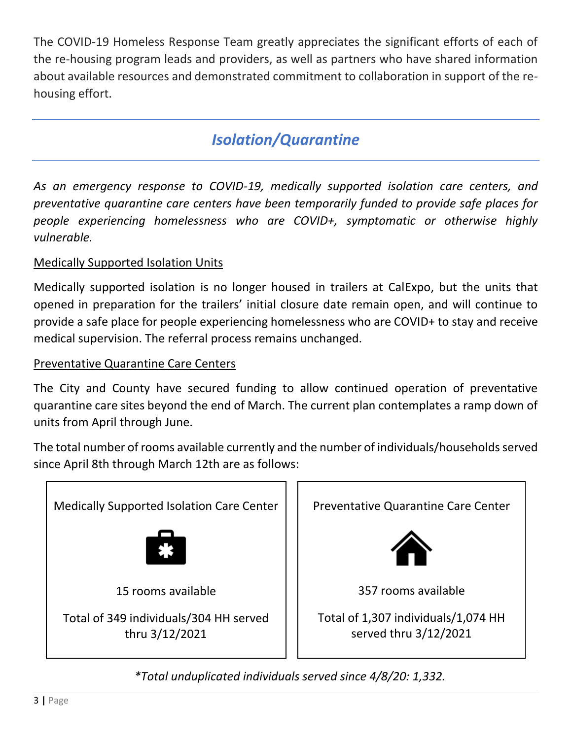The COVID-19 Homeless Response Team greatly appreciates the significant efforts of each of the re-housing program leads and providers, as well as partners who have shared information about available resources and demonstrated commitment to collaboration in support of the rehousing effort.

# *Isolation/Quarantine*

*As an emergency response to COVID-19, medically supported isolation care centers, and preventative quarantine care centers have been temporarily funded to provide safe places for people experiencing homelessness who are COVID+, symptomatic or otherwise highly vulnerable.*

## Medically Supported Isolation Units

Medically supported isolation is no longer housed in trailers at CalExpo, but the units that opened in preparation for the trailers' initial closure date remain open, and will continue to provide a safe place for people experiencing homelessness who are COVID+ to stay and receive medical supervision. The referral process remains unchanged.

### Preventative Quarantine Care Centers

The City and County have secured funding to allow continued operation of preventative quarantine care sites beyond the end of March. The current plan contemplates a ramp down of units from April through June.

The total number of rooms available currently and the number of individuals/households served since April 8th through March 12th are as follows:



*\*Total unduplicated individuals served since 4/8/20: 1,332.*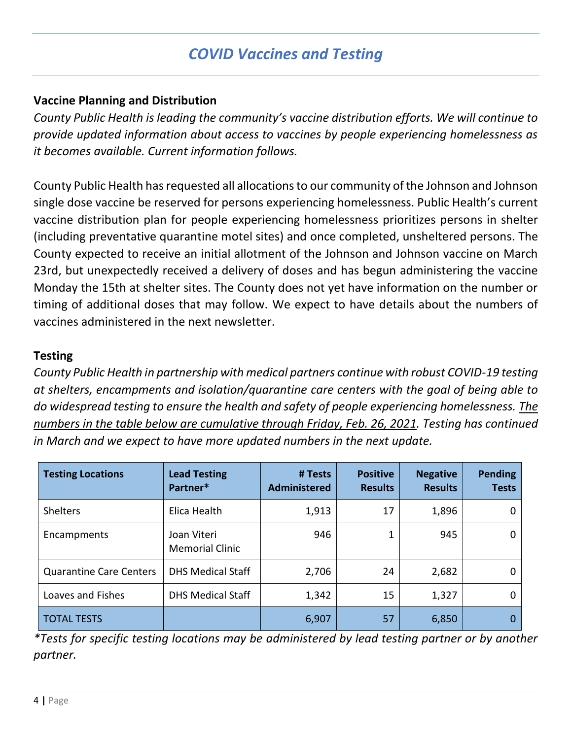# *COVID Vaccines and Testing*

### **Vaccine Planning and Distribution**

*County Public Health is leading the community's vaccine distribution efforts. We will continue to provide updated information about access to vaccines by people experiencing homelessness as it becomes available. Current information follows.*

County Public Health has requested all allocations to our community of the Johnson and Johnson single dose vaccine be reserved for persons experiencing homelessness. Public Health's current vaccine distribution plan for people experiencing homelessness prioritizes persons in shelter (including preventative quarantine motel sites) and once completed, unsheltered persons. The County expected to receive an initial allotment of the Johnson and Johnson vaccine on March 23rd, but unexpectedly received a delivery of doses and has begun administering the vaccine Monday the 15th at shelter sites. The County does not yet have information on the number or timing of additional doses that may follow. We expect to have details about the numbers of vaccines administered in the next newsletter.

### **Testing**

*County Public Health in partnership with medical partners continue with robust COVID-19 testing at shelters, encampments and isolation/quarantine care centers with the goal of being able to do widespread testing to ensure the health and safety of people experiencing homelessness. The numbers in the table below are cumulative through Friday, Feb. 26, 2021. Testing has continued in March and we expect to have more updated numbers in the next update.*

| <b>Testing Locations</b>       | <b>Lead Testing</b><br>Partner*       | # Tests<br><b>Administered</b> | <b>Positive</b><br><b>Results</b> | <b>Negative</b><br><b>Results</b> | <b>Pending</b><br><b>Tests</b> |
|--------------------------------|---------------------------------------|--------------------------------|-----------------------------------|-----------------------------------|--------------------------------|
| Shelters                       | Elica Health                          | 1,913                          | 17                                | 1,896                             | 0                              |
| Encampments                    | Joan Viteri<br><b>Memorial Clinic</b> | 946                            |                                   | 945                               | 0                              |
| <b>Quarantine Care Centers</b> | <b>DHS Medical Staff</b>              | 2,706                          | 24                                | 2,682                             | 0                              |
| Loaves and Fishes              | <b>DHS Medical Staff</b>              | 1,342                          | 15                                | 1,327                             | 0                              |
| <b>TOTAL TESTS</b>             |                                       | 6,907                          | 57                                | 6,850                             | 0                              |

*\*Tests for specific testing locations may be administered by lead testing partner or by another partner.*